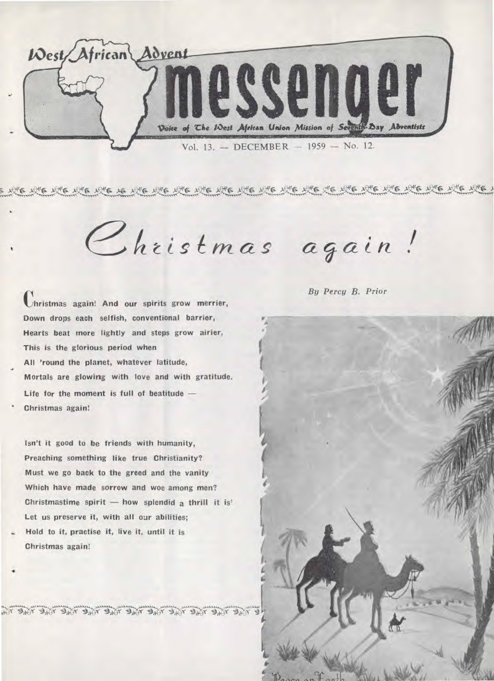

Christmas again!

**Christmas again! And our spirits grow merrier, Down drops each selfish, conventional barrier, Hearts beat more lightly and steps grow airier, This is the glorious period when All 'round the planet, whatever latitude, Mortals are glowing with love and with gratitude. Life for the moment is full of beatitude — Christmas again!** 

**Isn't it good to be friends with humanity, Preaching something like true Christianity? Must we go back to the greed and the vanity Which have made sorrow and woe among men? Christmastime spirit — how splendid a thrill it is' Let us preserve it, with all our abilities;** 

**Hold to it, practise it, live it, until it is Christmas again!** 

•

Akj

*By Percy B. Prior* 

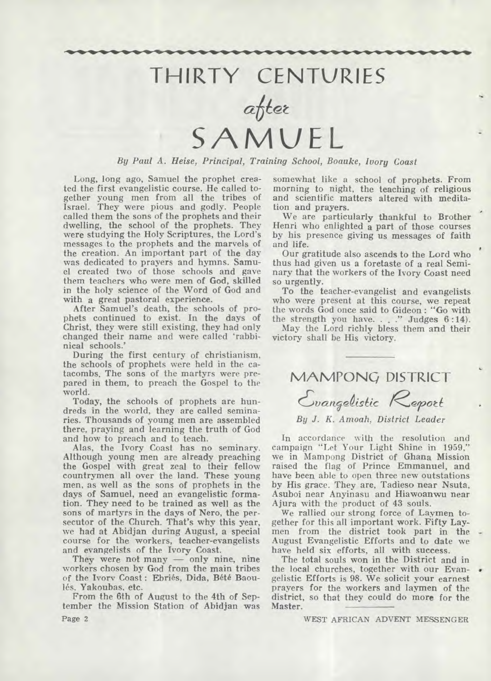# **THIRTY CENTURIES**

after **SAMUEL** 

*By Paul A. Heise, Principal, Training School, Boauke, Ivory Coast* 

**Long, long ago, Samuel the prophet created the first evangelistic course. He called together young men from all the tribes of Israel. They were pious and godly. People called them the sons of the prophets and their dwelling, the school of the prophets. They were studying the Holy Scriptures, the Lord's messages to the prophets and the marvels of the creation. An important part of the day was dedicated to prayers and hymns. Samuel created two of those schools and gave them teachers who were men of God, skilled in the holy science of the Word of God and with a great pastoral experience.** 

**After Samuel's death, the schools of prophets continued to exist. In the days of Christ, they were still existing, they had only changed their name and were called 'rabbinical schools.'** 

**During the first century of christianism, the schools of prophets were held in the catacombs. The sons of the martyrs were prepared in them, to preach the Gospel to the world.** 

**Today, the schools of prophets are hundreds in the world, they are called seminaries. Thousands of young men are assembled there, praying and learning the truth of God and how to preach and to teach.** 

**Alas, the Ivory Coast has no seminary. Although young men are already preaching the Gospel with great zeal to their fellow countrymen all over the land. These young men, as well as the sons of prophets in the days of Samuel, need an evangelistic formation. They need to be trained as well as the sons of martyrs in the days of Nero, the persecutor of the Church. That's why this year, we had at Abidjan during August, a special course for the workers, teacher-evangelists and evangelists of the Ivory Coast.** 

**They were not many — only nine, nine workers chosen by God from the main tribes**  of the Ivory Coast: Ebriés, Dida, Bété Baou**les. Yakoubas, etc.** 

**From the 6th of August to the 4th of September the Mission Station of Abidjan was Page 2** 

**somewhat like a school of prophets. From morning to night, the teaching of religious and scientific matters altered with meditation and prayers.** 

**We are particularly thankful to Brother Henri who enlighted a part of those courses by his presence giving us messages of faith and life.** 

**Our gratitude also ascends to the Lord who thus had given us a foretaste of a real Seminary that the workers of the Ivory Coast need so urgently.** 

**To the teacher-evangelist and evangelists who were present at this course, we repeat the words God once said to Gideon : "Go with the strength you have. . . ." Judges 6 :14).** 

**May the Lord richly bless them and their victory shall be His victory.** 

**MAMPONG DISTRICT** 

*t'alefe4isRc feroti* 

## *By J. K. Amoah, District Leader*

**In accordance with the resolution and campaign "Let Your Light Shine in 1959," we in Mampong District of Ghana Mission raised the flag of Prince Emmanuel, and have been able to open three new outstations by His grace. They are, Tadieso near Nsuta, Asuboi near Anyinasu and Hiawoanwu near Ajura with the product of 43 souls.** 

**We rallied our strong force of Laymen together for this all important work. Fifty Laymen from the district took part in the August Evangelistic Efforts and to date we have held six efforts, all with success.** 

**The total souls won in the District and in**  the local churches, together with our Evan**gelistic Efforts is 98. We solicit your earnest prayers for the workers and laymen of the district, so that they could do more for the Master.** 

WEST AFRICAN ADVENT MESSENGER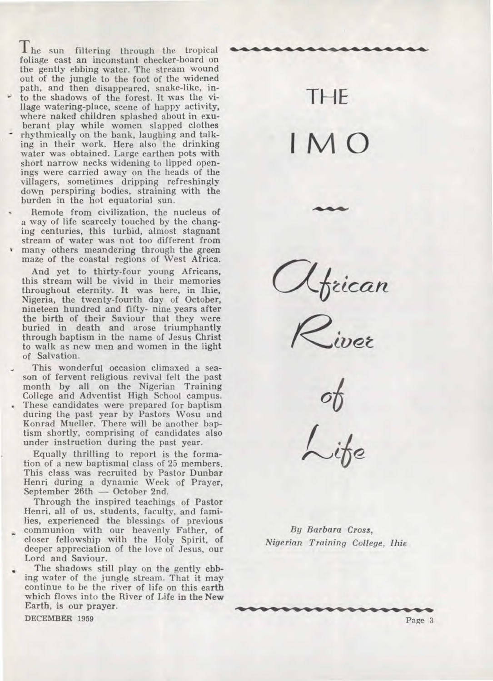The sun filtering through the tropical foliage cast an inconstant checker-board on the gently ebbing water. The stream wound out of the jungle to the foot of the widened path, and then disappeared, snake-like, in to the shadows of the forest. It was the village watering-place, scene of happy activity, where naked children splashed about in exuberant play while women slapped clothes rhythmically on the bank, laughing and talking in their work. Here also the drinking water was obtained. Large earthen pots with short narrow necks widening to lipped openings were carried away on the heads of the villagers, sometimes dripping refreshingly down perspiring bodies, straining with the burden in the hot equatorial sun.

• Remote from civilization, the nucleus of a way of life scarcely touched by the changing centuries, this turbid, almost stagnant stream of water was not too different from many others meandering through the green maze of the coastal regions of West Africa.

And yet to thirty-four young Africans, this stream will be vivid in their memories throughout eternity. **It** was here, in Ihie, Nigeria, the twenty-fourth day of October, nineteen hundred and fifty- nine years after the birth of their Saviour that they were buried in death and arose triumphantly through baptism in the name of Jesus Christ to walk as new men and women in the light of Salvation.

This wonderful occasion climaxed a season of fervent religious revival felt the past month by all on the Nigerian Training College and Adventist High School campus. These candidates were prepared for baptism during the past year by Pastors Wosu and Konrad Mueller. There will be another baptism shortly, comprising of candidates also under instruction during the past year.

Equally thrilling to report is the formation of a new baptismal class of 25 members. This class was recruited by Pastor Dunbar Henri during a dynamic Week of Prayer, September 26th — October 2nd.

Through the inspired teachings of Pastor Henri, all of us, students, faculty, and families, experienced the blessings of previous communion with our heavenly Father, of closer fellowship with the Holy Spirit, of deeper appreciation of the love of Jesus, our Lord and Saviour.

• The shadows still play on the gently **ebbing** water of the jungle stream. That it may continue to be the river of life on this **earth**  which flows into **the River of Life in the New Earth, is our prayer.** 

**DECEMBER 1959** 

THE I M O

African

 $\sigma_{\!U}$ 

By *Barbara Cross, Nigerian Training College, Ihie*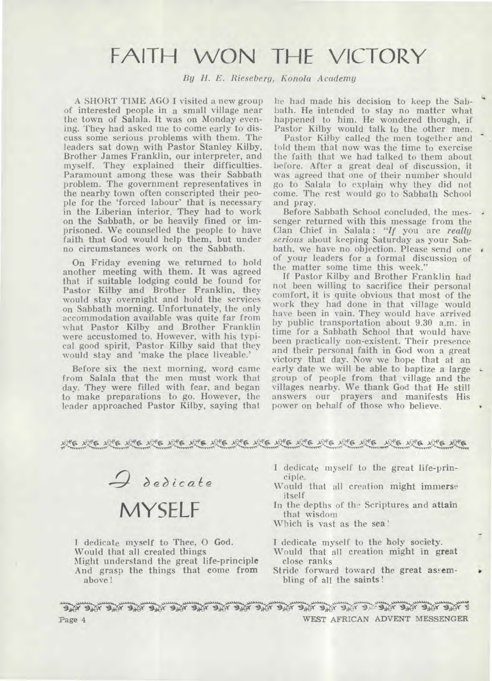# FAITH WON THE VICTORY

*By H. E. Rieseberg, Konola Academy* 

A SHORT TIME AGO I visited a new group of interested people in a small village near the town of Salala. It was on Monday evening. They had asked me to come early to discuss some serious problems with them. The leaders sat down with Pastor Stanley Kilby, Brother James Franklin, our interpreter, and myself. They explained their difficulties. Paramount among these was their Sabbath problem. The government representatives in the nearby town often conscripted their people for the 'forced labour' that is necessary in the Liberian interior. They had to work on the Sabbath, or be heavily fined or imprisoned. We counselled the people to have faith that God would help them, but under no circumstances work on the Sabbath.

On Friday evening we returned to hold another meeting with them. It was agreed that if suitable lodging could be found for Pastor Kilby and Brother Franklin, they would stay overnight and hold the services on Sabbath morning. Unfortunately, the only accommodation available was quite far from what Pastor Kilby and Brother Franklin were accustomed to. However, with his typical good spirit, Pastor Kilby said that they would stay and 'make the place liveable.'

Before six the next morning, word came from Salala that the men must work that day. They were filled with fear, and began to make preparations to go. However, the leader approached Pastor Kilby, saying that

he had made his decision to keep the Sabbath. He intended to stay no matter what happened to him. He wondered though, if Pastor Kilby would talk to the other men.

Pastor Kilby called the men together and told them that now was the time to exercise the faith that we had talked to them about before. After a great deal of discussion, it was agreed that one of their number should go to Salala to explain why they did not come. The rest would go to Sabbath School and pray.

Before Sabbath School concluded, the messenger returned with this message from the Clan Chief in Salala : *"If* you are *really serious* about keeping Saturday as your Sabbath, we have no objection. Please send one of your leaders for a formal discussion of the matter some time this week."

If Pastor Kilby and Brother Franklin had not been willing to sacrifice their personal comfort, it is quite obvious that most of the work they had done in that village would have been in vain. They would have arrived by public transportation about 9.30 a.m. in time for a Sabbath School that would have been practically non-existent. Their presence and their personal faith in God won a great victory that day. Now we hope that at an early date we will be able to baptize a large group of people from that village and the villages nearby. We thank God that He still answers our prayers and manifests His power on behalf of those who believe.



I dedicate myself to Thee, **0 God.**  Would that all created things Might understand the great life-principle And grasp the things that come from above!

I dedicate myself to the great life-principle.

Would that all creation might immerse itself

In the depths of the Scriptures and attain that wisdom

Which is vast as the sea!

I dedicate myself to the holy society.

Would that all creation might in great close ranks

Stride forward toward **the great assembling of all the saints !** 

Page 4 **WEST AFRICAN ADVENT MESSENGER**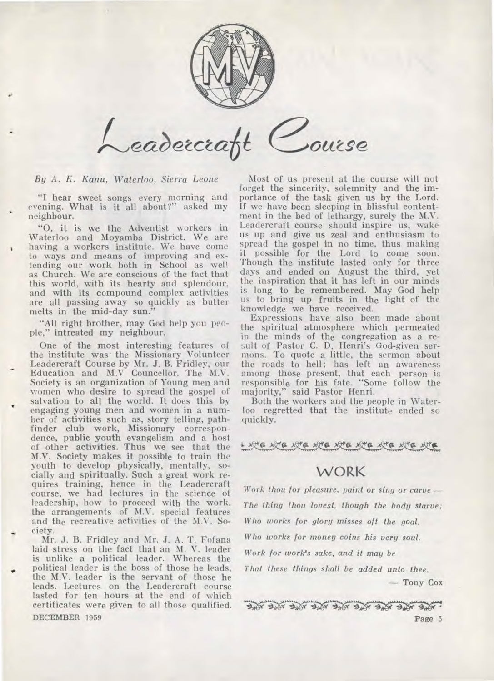

Course Leadercraft

*By A. K. Kann, Waterloo, Sierra Leone* 

"I hear sweet songs every morning and evening. What is it all about?" asked my neighbour.

"0, it is we the Adventist workers in Waterloo and Moyamba District. We are having a workers institute. We have come to ways and means of improving and extending our work both in School as well as Church. We are conscious of the fact that this world, with its hearty and splendour, and with its compound complex activities are all passing away so quickly as butter melts in the mid-day sun."

"All right brother, may God help you people," intreated my neighbour.

One of the most interesting features of the institute was-the Missionary Volunteer Leadercraft Course by Mr. J. B. Fridley, our Education and M.V Councellor. The M.V. Society is an organization of Young men and women who desire to spread the gospel of salvation to all the world. It does this by engaging young men and women in a number of activities such as, story telling, pathfinder club work, Missionary correspondence, public youth evangelism and a host of other *activities.* Thus we see that the M.V. Society makes it possible to train the youth to develop physically, mentally, socially and spiritually. Such a great work requires training, hence in the Leadercraft course, we had lectures in the science of leadership, how to proceed with the work, the arrangements of M.V. special features and the recreative activities of the M.V. Society.

Mr. J. B. Fridley and Mr. J. A. T. Fofana laid stress on the fact that an M. V. leader is unlike a political leader. Whereas the • political leader is the boss of those he leads, the M.V. leader is the servant of those he leads. Lectures on the Leadercraft course lasted for ten hours at the end of which certificates were given to all those qualified.

Most of us present at the course will not forget the sincerity, solemnity and the importance of the task given us by the Lord. If we have been sleeping in blissful contentment in the bed of lethargy, surely the M.V. Leadercraft course should inspire us, wake us up and give us zeal and enthusiasm to spread the gospel in no time, thus making it possible for the Lord to come soon. Though the institute lasted only for three days and ended on August the third, yet the inspiration that it has left in our minds is long to be remembered. May God help us to bring up fruits in the light of the knowledge we have received.

Expressions have also been made about the spiritual atmosphere which permeated in the minds of the congregation as a result of Pastor C. D. Henri's God-given sermons. To quote a little, the sermon about the roads to hell; has left an awareness among those present, that each person is responsible for his fate. "Some follow the majority," said Pastor Henri.

Both the workers and the people in Waterloo regretted that the institute ended so quickly.

## **WORK**

*Work thou for pleasure, paint or sing or carve— The thing thou lovest, though the body starve; Who works for glory misses oft the goal,* 

*Who works for money coins his very soul.* 

*Work for work's sake, and it may be* 

*That these things shall be added unto thee.* 

— Tony Cox

THE THE THE THE THE THE THE THE THE DECEMBER 1959 Page 5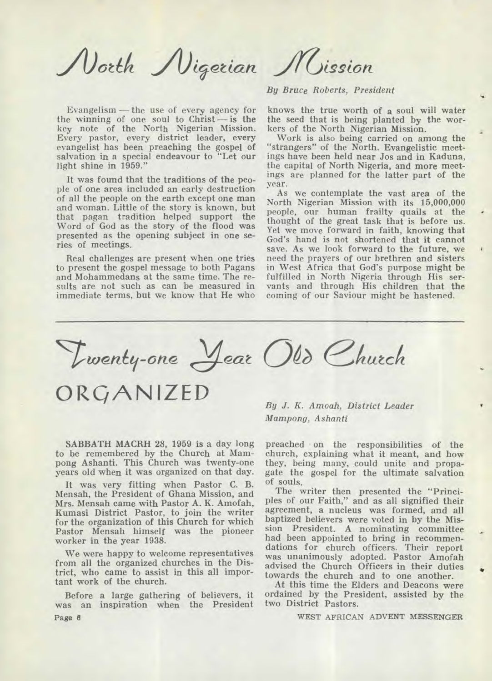North Nigerian Mission

Evangelism — the use of every agency for the winning of one soul to Christ — is the key note of the North Nigerian Mission. Every pastor, every district leader, every evangelist has been preaching the gospel of salvation in a special endeavour to "Let our light shine in 1959."

It was found that the traditions of the people of one area included an early destruction of all the people on the earth except one man and woman. Little of the story is known, but that pagan tradition helped support the Word of God as the story of the flood was presented as the opening subject in one series of meetings.

Real challenges are present when one tries to present the gospel message to both Pagans and Mohammedans at the same time. The results are not such as can be measured in immediate terms, but we know that He who

*By Bruce Roberts, President* 

knows the true worth of a soul will water the seed that is being planted by the workers of the North Nigerian Mission.

Work is also being carried on among the "strangers" of the North. Evangelistic meetings have been held near Jos and in Kaduna, the capital of North Nigeria, and more meetings are planned for the latter part of the year.

As we contemplate the vast area of the North Nigerian Mission with its 15,000,000 people, our human frailty quails at the thought of the great task that is before us. Yet we move forward in faith, knowing that God's hand is not shortened that it cannot save. As we look forward to the future, we need the prayers of our brethren and sisters in West Africa that God's purpose might be fulfilled in North Nigeria through His servants and through His children that the coming of our Saviour might be hastened.

Twenty-one Jear Old Church

**ORGANIZED** 

SABBATH MACRH 28, 1959 is a day long to be remembered by the Church at Mampong Ashanti. This Church was twenty-one years old when it was organized on that day.

It was very fitting when Pastor C. B. Mensah, the President of Ghana Mission, and Mrs. Mensah came with Pastor A. K. Amofah, Kumasi District Pastor, to join the writer for the organization of this Church for which Pastor Mensah himself was the pioneer worker in the year 1938.

We were happy to welcome representatives from all the organized churches in the District, who came to assist in this all important work of the church.

Before a large gathering of believers, it was an inspiration when the President Page 8

*By J. K. Amoah, District Leader Marnpong, Ashanti* 

preached on the responsibilities of the church, explaining what it meant, and how they, being many, could unite and propagate the gospel for the ultimate salvation of souls.

The writer then presented the "Principles of our Faith," and as all signified their agreement, a nucleus was formed, and all baptized believers were voted in by the Mission President. A nominating committee had been appointed to bring in recommendations for church officers. Their report was unanimously adopted. Pastor Amofah advised the Church Officers in their duties towards the church and to one another.

At this time the Elders and Deacons were ordained by the President, assisted by the two District Pastors.

WEST AFRICAN ADVENT MESSENGER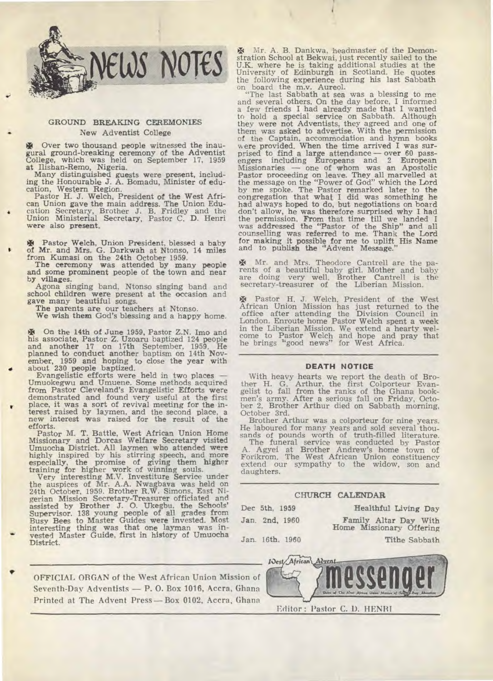

### **GROUND BREAKING CEREMONIES • New Adventist College**

 $\mathbf{\Psi}$  Over two thousand people witnessed the inau**gural ground-breaking ceremony of the Adventist College, which was held on September 17, 1959 at Ilishan-Remo, Nigeria.** 

**Many distinguished guests were present, includ-ing the Honourable J. A. Bomadu, Minister of edu-cation, Western Region. Pastor H. J. Welch, President of the West Afri-**

**can Union gave the main address. The Union Edu-**  • cation Secretary, Brother J. B. Fridley and the **Union Ministerial Secretary, Pastor** C. **D. Henri** 

**were also present.** 

**\* Pastor Welch, Union President, blessed a baby of Mr. and Mrs. G. Darkwah at Ntonso, 14 miles from Kumasi on the 24th October 1959.** 

**The ceremony was attended by many people and some prominent people of the town and near by villages.** 

**Agona singing band, Ntonso singing** band and **school children were present at the occasion and gave many beautiful songs.** 

**The parents are our teachers at Ntonso.** 

**We wish them God's blessing and a happy home.** 

**E** On the 14th of June 1959, Pastor Z.N. Imo and his associate, Pastor Z. Uzoaru baptized 124 people and another 17 on 17th September, 1959. He planned to conduct another baptism on 14th Nov-

**ember, 1959 and hoping to close the year with • about 230 people baptized. Evangelistic efforts were held in two places — Umuokegwu and Umuene. Some methods acquired from Pastor Cleveland's Evangelistic Efforts were demonstrated and found very useful at the** first • place, it was **a sort of revival meeting for the in-terest raised by laymen, and the second place, a new interest was raised for the result of the efforts.** 

**Pastor M. T. Battle, West African Union Home Missionary and Dorcas Welfare Secretary visited Umuocha District. All laymen who attended were highly inspired by his stirring speech, and more** 

especially, the promise of giving them higher training for higher work of winning souls.<br>
Very interesting M.V. Investiture Service under<br>
the auspices of Mr. A.A. Nwagbava was held on<br>
24th October, 1959. Brother R.W. Sim gerian **Mission Secretary-Treasurer officiated** and **assisted by Brother J. 0. Ukegbu, the Schools' Supervisor. 138 young people of all grades from Busy Bees to Master Guides were invested. Most interesting thing was that one layman was in-vested Master Guide, first in history of Umuocha District.** 

g4 Mr. A. B. Dankwa, headmaster of the Demon-stration School at Bekwai, just recently sailed to the U.K. where he is taking additional studies at the University of Edinburgh in Scotland. He quotes the following experience during his last Sabbath on board the m.v. Aureol. "The last Sabbath at sea was a blessing to me

and several others. On the day before, I informed a few friends I had already made that I wanted to hold a special service on Sabbath. Although they were not Adventists, they agreed and one of them was asked to advertise. With the permission of the Captain, accommodation and hymn books were provided. When the time arrived I was sur-prised to find a large attendance — over 60 passengers including Europeans and 2 European Missionaries — one of whom was an Apostolic Pastor proceeding on leave. They all marvelled at the message on the "Power of God" which the Lord by me spoke. The Pastor remarked later to the congregation that what I did was something he had always hoped to do, but negotiations on board don't allow, he was therefore surprised why I had the permission. From that time till we landed I was addressed the "Pastor of the Ship" and all was addressed the "Pastor of the Ship" and all counselling was referred to me. Thank the Lord for making it possible for me to uplift His Name and to publish the "Advent Message."

J4 Mr. and Mrs. Theodore Cantrell are the parents of a beautiful baby girl. Mother and baby are doing very well. Brother Cantrell is the secretary-treasurer of the Liberian Mission.

Pastor H. J. Welch, President of the West African Union Mission has just returned to the office after attending the Division Council in London. Enroute home Pastor Welch spent a week in the Liberian Mission. We extend a hearty welcome to Pastor Welch and hope and pray that he brings "good news" for West Africa.

#### **DEATH NOTICE**

With heavy hearts we report the death of Brother H. G. Arthur, the first Colporteur Evan-gelist to fall from the ranks of the Ghana book-men's army. After a serious fall on Friday, Octo-ber 2, Brother Arthur died on Sabbath morning, October 3rd.

Brother Arthur was a colporteur for nine years. He laboured for many years and sold several thousands of pounds worth of truth-filled literature.

The funeral service was conducted by Pastor A. Agyei at Brother Andrew's home town of Forikrom. The West African Union constituency extend our sympathy to the widow, son and daughters.

### **CHURCH CALENDAR**

**Dec 5th. 1959 Healthful Living Day** 

**Jan. 2nd, 1960 Family Altar Day With** 

**Home Missionary Offering** 

**Jan. 16th. 1960 Tithe Sabbath** 

**OFFICIAL ORGAN of the West African Union Mission of Seventh-Day Adventists — P. 0. Box 1016, Accra, Ghana Printed at The Advent Press—Box 0102, Accra, Ghana**